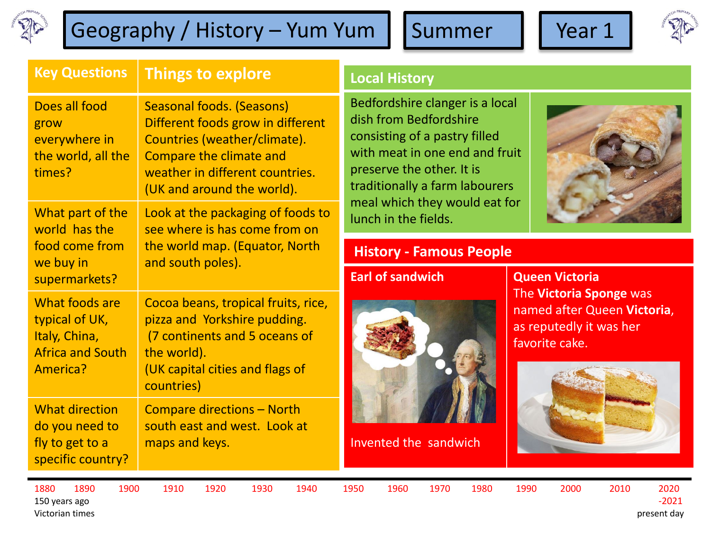

# Geography / History – Yum Yum | Summer | | Year 1





| <b>Key Questions</b>                                                                     | <b>Things to explore</b>                                                                                                                                                                          |
|------------------------------------------------------------------------------------------|---------------------------------------------------------------------------------------------------------------------------------------------------------------------------------------------------|
| Does all food<br>grow<br>everywhere in<br>the world, all the<br>times?                   | <b>Seasonal foods. (Seasons)</b><br>Different foods grow in different<br>Countries (weather/climate).<br>Compare the climate and<br>weather in different countries.<br>(UK and around the world). |
| What part of the<br>world has the<br>food come from<br>we buy in<br>supermarkets?        | Look at the packaging of foods to<br>see where is has come from on<br>the world map. (Equator, North<br>and south poles).                                                                         |
| What foods are<br>typical of UK,<br>Italy, China,<br><b>Africa and South</b><br>America? | Cocoa beans, tropical fruits, rice,<br>pizza and Yorkshire pudding.<br>(7 continents and 5 oceans of<br>the world).<br>(UK capital cities and flags of<br>countries)                              |
| <b>What direction</b><br>do you need to<br>fly to get to a<br>specific country?          | <b>Compare directions - North</b><br>south east and west. Look at<br>maps and keys.                                                                                                               |

**Local History** 

Bedfordshire clanger is a local dish from Bedfordshire consisting of a pastry filled with meat in one end and fruit preserve the other. It is traditionally a farm labourers meal which they would eat for lunch in the fields.



#### **History - Famous People**

#### **Earl of sandwich**



Invented the sandwich

**Queen Victoria**  The **Victoria Sponge** was named after Queen **Victoria**, as reputedly it was her favorite cake.



150 years ago -2021 Victorian times present day

1880 1890 1900 1910 1920 1930 1940 1950 1960 1970 1980 1990 2000 2010 2020